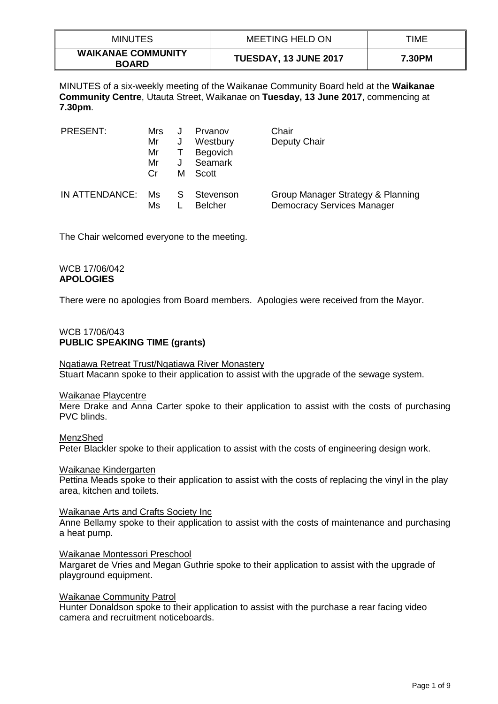| <b>MINUTES</b>                            | MEETING HELD ON       | TIME   |
|-------------------------------------------|-----------------------|--------|
| <b>WAIKANAE COMMUNITY</b><br><b>BOARD</b> | TUESDAY, 13 JUNE 2017 | 7.30PM |

MINUTES of a six-weekly meeting of the Waikanae Community Board held at the **Waikanae Community Centre**, Utauta Street, Waikanae on **Tuesday, 13 June 2017**, commencing at **7.30pm**.

| PRESENT:       | Mrs<br>Mr<br>Mr<br>Mr<br>Cr. | J<br>м | Prvanov<br>Westbury<br><b>Begovich</b><br><b>Seamark</b><br>Scott | Chair<br>Deputy Chair                                                  |
|----------------|------------------------------|--------|-------------------------------------------------------------------|------------------------------------------------------------------------|
| IN ATTENDANCE: | Ms.<br>Ms                    | S S    | Stevenson<br><b>Belcher</b>                                       | Group Manager Strategy & Planning<br><b>Democracy Services Manager</b> |

The Chair welcomed everyone to the meeting.

### WCB 17/06/042 **APOLOGIES**

There were no apologies from Board members. Apologies were received from the Mayor.

# WCB 17/06/043 **PUBLIC SPEAKING TIME (grants)**

# Ngatiawa Retreat Trust/Ngatiawa River Monastery

Stuart Macann spoke to their application to assist with the upgrade of the sewage system.

### Waikanae Playcentre

Mere Drake and Anna Carter spoke to their application to assist with the costs of purchasing PVC blinds.

## MenzShed Peter Blackler spoke to their application to assist with the costs of engineering design work.

### Waikanae Kindergarten

Pettina Meads spoke to their application to assist with the costs of replacing the vinyl in the play area, kitchen and toilets.

Waikanae Arts and Crafts Society Inc

Anne Bellamy spoke to their application to assist with the costs of maintenance and purchasing a heat pump.

### Waikanae Montessori Preschool

Margaret de Vries and Megan Guthrie spoke to their application to assist with the upgrade of playground equipment.

### Waikanae Community Patrol

Hunter Donaldson spoke to their application to assist with the purchase a rear facing video camera and recruitment noticeboards.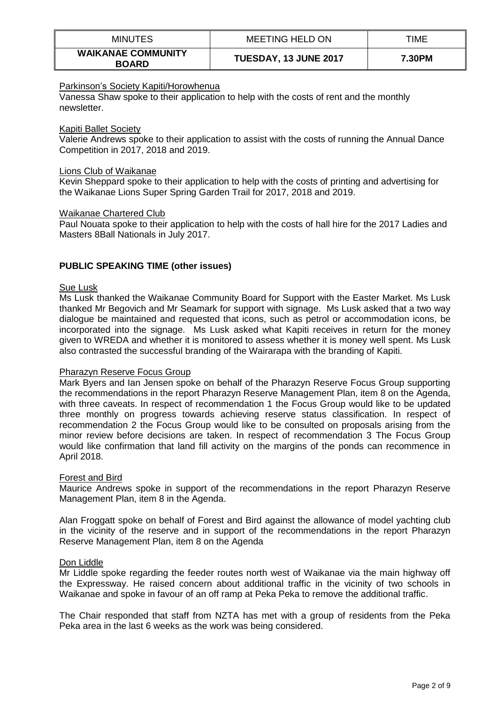| <b>MINUTES</b>                            | MEETING HELD ON       | TIME   |
|-------------------------------------------|-----------------------|--------|
| <b>WAIKANAE COMMUNITY</b><br><b>BOARD</b> | TUESDAY, 13 JUNE 2017 | 7.30PM |

## Parkinson's Society Kapiti/Horowhenua

Vanessa Shaw spoke to their application to help with the costs of rent and the monthly newsletter.

### Kapiti Ballet Society

Valerie Andrews spoke to their application to assist with the costs of running the Annual Dance Competition in 2017, 2018 and 2019.

#### Lions Club of Waikanae

Kevin Sheppard spoke to their application to help with the costs of printing and advertising for the Waikanae Lions Super Spring Garden Trail for 2017, 2018 and 2019.

#### Waikanae Chartered Club

Paul Nouata spoke to their application to help with the costs of hall hire for the 2017 Ladies and Masters 8Ball Nationals in July 2017.

### **PUBLIC SPEAKING TIME (other issues)**

#### Sue Lusk

Ms Lusk thanked the Waikanae Community Board for Support with the Easter Market. Ms Lusk thanked Mr Begovich and Mr Seamark for support with signage. Ms Lusk asked that a two way dialogue be maintained and requested that icons, such as petrol or accommodation icons, be incorporated into the signage. Ms Lusk asked what Kapiti receives in return for the money given to WREDA and whether it is monitored to assess whether it is money well spent. Ms Lusk also contrasted the successful branding of the Wairarapa with the branding of Kapiti.

### Pharazyn Reserve Focus Group

Mark Byers and Ian Jensen spoke on behalf of the Pharazyn Reserve Focus Group supporting the recommendations in the report Pharazyn Reserve Management Plan, item 8 on the Agenda, with three caveats. In respect of recommendation 1 the Focus Group would like to be updated three monthly on progress towards achieving reserve status classification. In respect of recommendation 2 the Focus Group would like to be consulted on proposals arising from the minor review before decisions are taken. In respect of recommendation 3 The Focus Group would like confirmation that land fill activity on the margins of the ponds can recommence in April 2018.

### Forest and Bird

Maurice Andrews spoke in support of the recommendations in the report Pharazyn Reserve Management Plan, item 8 in the Agenda.

Alan Froggatt spoke on behalf of Forest and Bird against the allowance of model yachting club in the vicinity of the reserve and in support of the recommendations in the report Pharazyn Reserve Management Plan, item 8 on the Agenda

### Don Liddle

Mr Liddle spoke regarding the feeder routes north west of Waikanae via the main highway off the Expressway. He raised concern about additional traffic in the vicinity of two schools in Waikanae and spoke in favour of an off ramp at Peka Peka to remove the additional traffic.

The Chair responded that staff from NZTA has met with a group of residents from the Peka Peka area in the last 6 weeks as the work was being considered.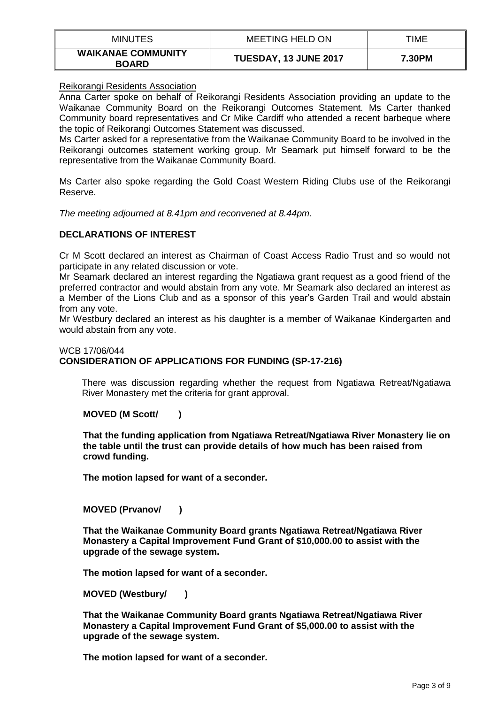| <b>MINUTES</b>                            | <b>MEETING HELD ON</b> | TIME   |
|-------------------------------------------|------------------------|--------|
| <b>WAIKANAE COMMUNITY</b><br><b>BOARD</b> | TUESDAY, 13 JUNE 2017  | 7.30PM |

## Reikorangi Residents Association

Anna Carter spoke on behalf of Reikorangi Residents Association providing an update to the Waikanae Community Board on the Reikorangi Outcomes Statement. Ms Carter thanked Community board representatives and Cr Mike Cardiff who attended a recent barbeque where the topic of Reikorangi Outcomes Statement was discussed.

Ms Carter asked for a representative from the Waikanae Community Board to be involved in the Reikorangi outcomes statement working group. Mr Seamark put himself forward to be the representative from the Waikanae Community Board.

Ms Carter also spoke regarding the Gold Coast Western Riding Clubs use of the Reikorangi Reserve.

*The meeting adjourned at 8.41pm and reconvened at 8.44pm.*

# **DECLARATIONS OF INTEREST**

Cr M Scott declared an interest as Chairman of Coast Access Radio Trust and so would not participate in any related discussion or vote.

Mr Seamark declared an interest regarding the Ngatiawa grant request as a good friend of the preferred contractor and would abstain from any vote. Mr Seamark also declared an interest as a Member of the Lions Club and as a sponsor of this year's Garden Trail and would abstain from any vote.

Mr Westbury declared an interest as his daughter is a member of Waikanae Kindergarten and would abstain from any vote.

### WCB 17/06/044 **CONSIDERATION OF APPLICATIONS FOR FUNDING (SP-17-216)**

There was discussion regarding whether the request from Ngatiawa Retreat/Ngatiawa River Monastery met the criteria for grant approval.

### **MOVED (M Scott/ )**

**That the funding application from Ngatiawa Retreat/Ngatiawa River Monastery lie on the table until the trust can provide details of how much has been raised from crowd funding.**

**The motion lapsed for want of a seconder.**

### **MOVED (Prvanov/ )**

**That the Waikanae Community Board grants Ngatiawa Retreat/Ngatiawa River Monastery a Capital Improvement Fund Grant of \$10,000.00 to assist with the upgrade of the sewage system.**

**The motion lapsed for want of a seconder.**

**MOVED (Westbury/ )**

**That the Waikanae Community Board grants Ngatiawa Retreat/Ngatiawa River Monastery a Capital Improvement Fund Grant of \$5,000.00 to assist with the upgrade of the sewage system.**

**The motion lapsed for want of a seconder.**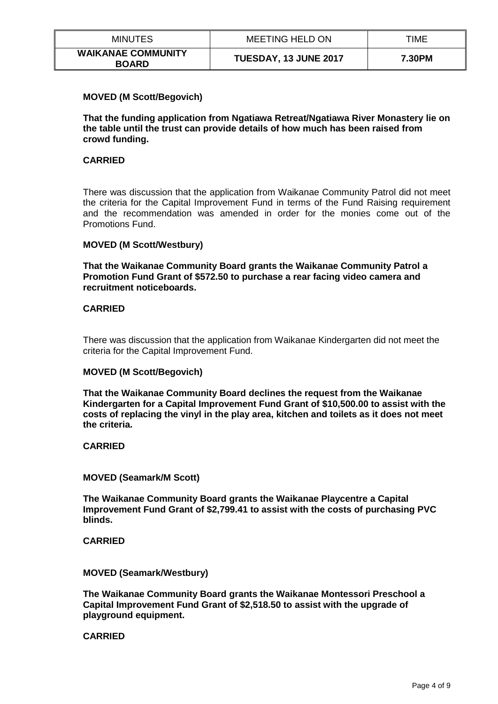| <b>MINUTES</b>                            | <b>MEETING HELD ON</b> | TIME   |
|-------------------------------------------|------------------------|--------|
| <b>WAIKANAE COMMUNITY</b><br><b>BOARD</b> | TUESDAY, 13 JUNE 2017  | 7.30PM |

## **MOVED (M Scott/Begovich)**

**That the funding application from Ngatiawa Retreat/Ngatiawa River Monastery lie on the table until the trust can provide details of how much has been raised from crowd funding.**

## **CARRIED**

There was discussion that the application from Waikanae Community Patrol did not meet the criteria for the Capital Improvement Fund in terms of the Fund Raising requirement and the recommendation was amended in order for the monies come out of the Promotions Fund.

### **MOVED (M Scott/Westbury)**

**That the Waikanae Community Board grants the Waikanae Community Patrol a Promotion Fund Grant of \$572.50 to purchase a rear facing video camera and recruitment noticeboards.**

### **CARRIED**

There was discussion that the application from Waikanae Kindergarten did not meet the criteria for the Capital Improvement Fund.

### **MOVED (M Scott/Begovich)**

**That the Waikanae Community Board declines the request from the Waikanae Kindergarten for a Capital Improvement Fund Grant of \$10,500.00 to assist with the costs of replacing the vinyl in the play area, kitchen and toilets as it does not meet the criteria.**

### **CARRIED**

### **MOVED (Seamark/M Scott)**

**The Waikanae Community Board grants the Waikanae Playcentre a Capital Improvement Fund Grant of \$2,799.41 to assist with the costs of purchasing PVC blinds.**

### **CARRIED**

### **MOVED (Seamark/Westbury)**

**The Waikanae Community Board grants the Waikanae Montessori Preschool a Capital Improvement Fund Grant of \$2,518.50 to assist with the upgrade of playground equipment.**

# **CARRIED**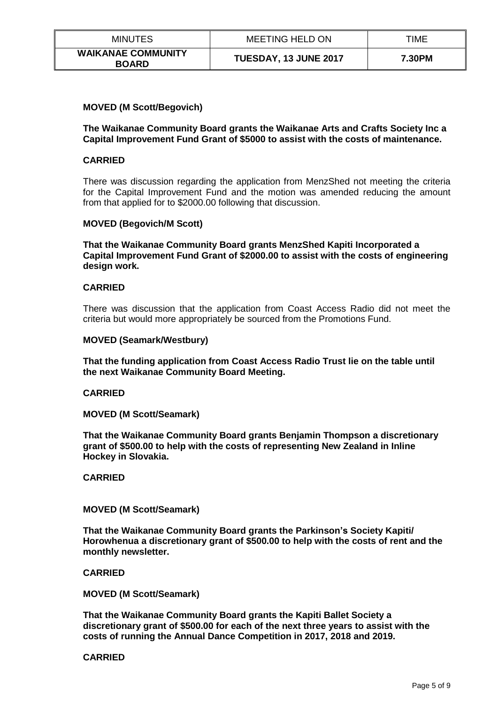| <b>MINUTES</b>                            | MEETING HELD ON       | TIME   |
|-------------------------------------------|-----------------------|--------|
| <b>WAIKANAE COMMUNITY</b><br><b>BOARD</b> | TUESDAY, 13 JUNE 2017 | 7.30PM |

## **MOVED (M Scott/Begovich)**

### **The Waikanae Community Board grants the Waikanae Arts and Crafts Society Inc a Capital Improvement Fund Grant of \$5000 to assist with the costs of maintenance.**

## **CARRIED**

There was discussion regarding the application from MenzShed not meeting the criteria for the Capital Improvement Fund and the motion was amended reducing the amount from that applied for to \$2000.00 following that discussion.

### **MOVED (Begovich/M Scott)**

**That the Waikanae Community Board grants MenzShed Kapiti Incorporated a Capital Improvement Fund Grant of \$2000.00 to assist with the costs of engineering design work.**

## **CARRIED**

There was discussion that the application from Coast Access Radio did not meet the criteria but would more appropriately be sourced from the Promotions Fund.

### **MOVED (Seamark/Westbury)**

**That the funding application from Coast Access Radio Trust lie on the table until the next Waikanae Community Board Meeting.**

### **CARRIED**

**MOVED (M Scott/Seamark)**

**That the Waikanae Community Board grants Benjamin Thompson a discretionary grant of \$500.00 to help with the costs of representing New Zealand in Inline Hockey in Slovakia.**

**CARRIED**

### **MOVED (M Scott/Seamark)**

**That the Waikanae Community Board grants the Parkinson's Society Kapiti/ Horowhenua a discretionary grant of \$500.00 to help with the costs of rent and the monthly newsletter.**

### **CARRIED**

**MOVED (M Scott/Seamark)**

**That the Waikanae Community Board grants the Kapiti Ballet Society a discretionary grant of \$500.00 for each of the next three years to assist with the costs of running the Annual Dance Competition in 2017, 2018 and 2019.**

### **CARRIED**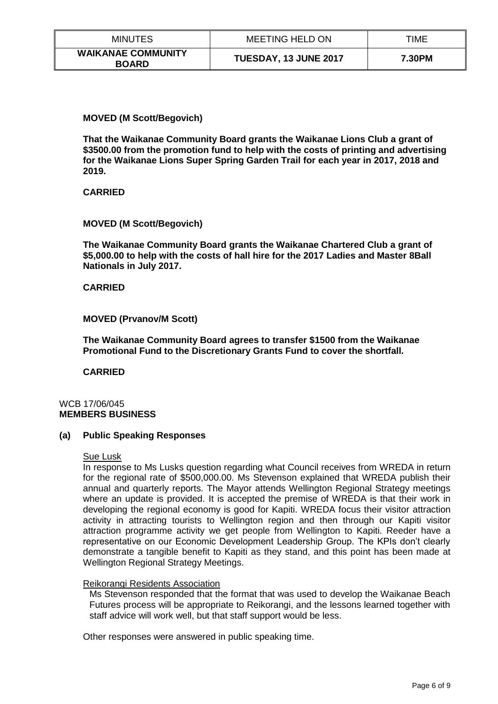| <b>MINUTES</b>                            | <b>MEETING HELD ON</b> | TIME   |
|-------------------------------------------|------------------------|--------|
| <b>WAIKANAE COMMUNITY</b><br><b>BOARD</b> | TUESDAY, 13 JUNE 2017  | 7.30PM |

## **MOVED (M Scott/Begovich)**

**That the Waikanae Community Board grants the Waikanae Lions Club a grant of \$3500.00 from the promotion fund to help with the costs of printing and advertising for the Waikanae Lions Super Spring Garden Trail for each year in 2017, 2018 and 2019.**

**CARRIED**

## **MOVED (M Scott/Begovich)**

**The Waikanae Community Board grants the Waikanae Chartered Club a grant of \$5,000.00 to help with the costs of hall hire for the 2017 Ladies and Master 8Ball Nationals in July 2017.**

## **CARRIED**

## **MOVED (Prvanov/M Scott)**

**The Waikanae Community Board agrees to transfer \$1500 from the Waikanae Promotional Fund to the Discretionary Grants Fund to cover the shortfall.**

**CARRIED**

# WCB 17/06/045 **MEMBERS BUSINESS**

### **(a) Public Speaking Responses**

### Sue Lusk

In response to Ms Lusks question regarding what Council receives from WREDA in return for the regional rate of \$500,000.00. Ms Stevenson explained that WREDA publish their annual and quarterly reports. The Mayor attends Wellington Regional Strategy meetings where an update is provided. It is accepted the premise of WREDA is that their work in developing the regional economy is good for Kapiti. WREDA focus their visitor attraction activity in attracting tourists to Wellington region and then through our Kapiti visitor attraction programme activity we get people from Wellington to Kapiti. Reeder have a representative on our Economic Development Leadership Group. The KPIs don't clearly demonstrate a tangible benefit to Kapiti as they stand, and this point has been made at Wellington Regional Strategy Meetings.

### Reikorangi Residents Association

Ms Stevenson responded that the format that was used to develop the Waikanae Beach Futures process will be appropriate to Reikorangi, and the lessons learned together with staff advice will work well, but that staff support would be less.

Other responses were answered in public speaking time.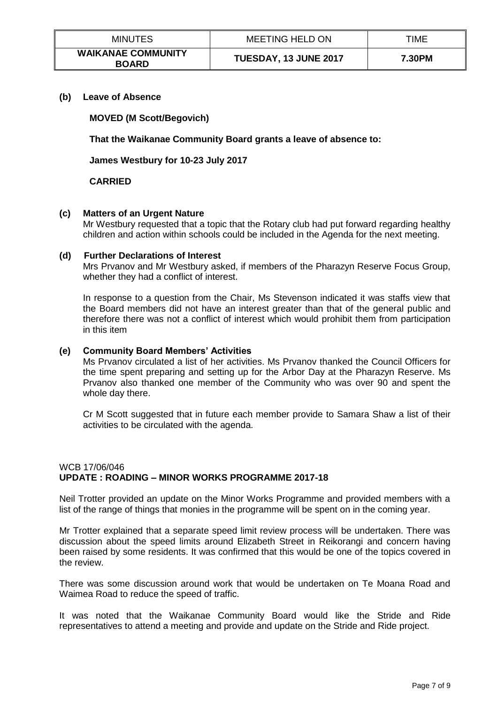| <b>MINUTES</b>                            | MEETING HELD ON       | TIME   |
|-------------------------------------------|-----------------------|--------|
| <b>WAIKANAE COMMUNITY</b><br><b>BOARD</b> | TUESDAY, 13 JUNE 2017 | 7.30PM |

**(b) Leave of Absence** 

**MOVED (M Scott/Begovich)**

**That the Waikanae Community Board grants a leave of absence to:**

**James Westbury for 10-23 July 2017**

## **CARRIED**

## **(c) Matters of an Urgent Nature**

Mr Westbury requested that a topic that the Rotary club had put forward regarding healthy children and action within schools could be included in the Agenda for the next meeting.

### **(d) Further Declarations of Interest**

Mrs Prvanov and Mr Westbury asked, if members of the Pharazyn Reserve Focus Group, whether they had a conflict of interest.

In response to a question from the Chair, Ms Stevenson indicated it was staffs view that the Board members did not have an interest greater than that of the general public and therefore there was not a conflict of interest which would prohibit them from participation in this item

#### **(e) Community Board Members' Activities**

Ms Prvanov circulated a list of her activities. Ms Prvanov thanked the Council Officers for the time spent preparing and setting up for the Arbor Day at the Pharazyn Reserve. Ms Prvanov also thanked one member of the Community who was over 90 and spent the whole day there.

Cr M Scott suggested that in future each member provide to Samara Shaw a list of their activities to be circulated with the agenda.

# WCB 17/06/046 **UPDATE : ROADING – MINOR WORKS PROGRAMME 2017-18**

Neil Trotter provided an update on the Minor Works Programme and provided members with a list of the range of things that monies in the programme will be spent on in the coming year.

Mr Trotter explained that a separate speed limit review process will be undertaken. There was discussion about the speed limits around Elizabeth Street in Reikorangi and concern having been raised by some residents. It was confirmed that this would be one of the topics covered in the review.

There was some discussion around work that would be undertaken on Te Moana Road and Waimea Road to reduce the speed of traffic.

It was noted that the Waikanae Community Board would like the Stride and Ride representatives to attend a meeting and provide and update on the Stride and Ride project.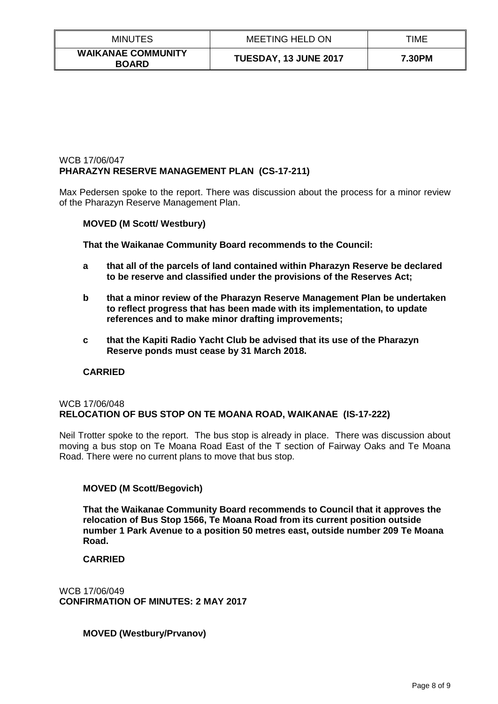| <b>MINUTES</b>                            | <b>MEETING HELD ON</b> | TIME   |
|-------------------------------------------|------------------------|--------|
| <b>WAIKANAE COMMUNITY</b><br><b>BOARD</b> | TUESDAY, 13 JUNE 2017  | 7.30PM |

# WCB 17/06/047 **PHARAZYN RESERVE MANAGEMENT PLAN (CS-17-211)**

Max Pedersen spoke to the report. There was discussion about the process for a minor review of the Pharazyn Reserve Management Plan.

# **MOVED (M Scott/ Westbury)**

**That the Waikanae Community Board recommends to the Council:**

- **a that all of the parcels of land contained within Pharazyn Reserve be declared to be reserve and classified under the provisions of the Reserves Act;**
- **b that a minor review of the Pharazyn Reserve Management Plan be undertaken to reflect progress that has been made with its implementation, to update references and to make minor drafting improvements;**
- **c that the Kapiti Radio Yacht Club be advised that its use of the Pharazyn Reserve ponds must cease by 31 March 2018.**

### **CARRIED**

### WCB 17/06/048 **RELOCATION OF BUS STOP ON TE MOANA ROAD, WAIKANAE (IS-17-222)**

Neil Trotter spoke to the report. The bus stop is already in place. There was discussion about moving a bus stop on Te Moana Road East of the T section of Fairway Oaks and Te Moana Road. There were no current plans to move that bus stop.

# **MOVED (M Scott/Begovich)**

**That the Waikanae Community Board recommends to Council that it approves the relocation of Bus Stop 1566, Te Moana Road from its current position outside number 1 Park Avenue to a position 50 metres east, outside number 209 Te Moana Road.** 

### **CARRIED**

WCB 17/06/049 **CONFIRMATION OF MINUTES: 2 MAY 2017**

**MOVED (Westbury/Prvanov)**